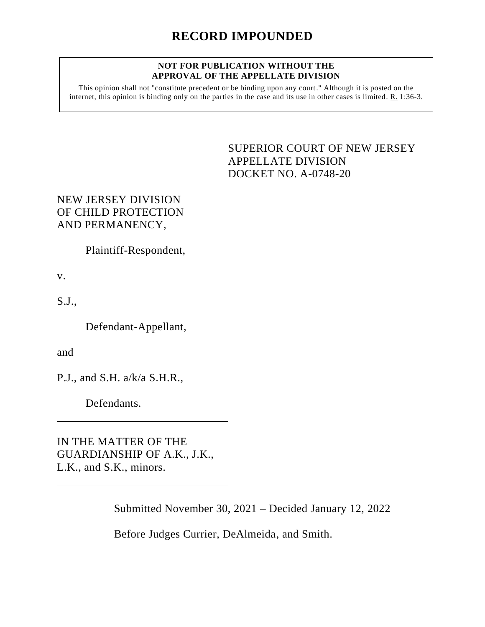#### **NOT FOR PUBLICATION WITHOUT THE APPROVAL OF THE APPELLATE DIVISION**

This opinion shall not "constitute precedent or be binding upon any court." Although it is posted on the internet, this opinion is binding only on the parties in the case and its use in other cases is limited. R. 1:36-3.

> <span id="page-0-0"></span>SUPERIOR COURT OF NEW JERSEY APPELLATE DIVISION DOCKET NO. A-0748-20

# NEW JERSEY DIVISION OF CHILD PROTECTION AND PERMANENCY,

Plaintiff-Respondent,

v.

S.J.,

Defendant-Appellant,

and

P.J., and S.H. a/k/a S.H.R.,

Defendants.

IN THE MATTER OF THE GUARDIANSHIP OF A.K., J.K., L.K., and S.K., minors.

Submitted November 30, 2021 – Decided January 12, 2022

Before Judges Currier, DeAlmeida, and Smith.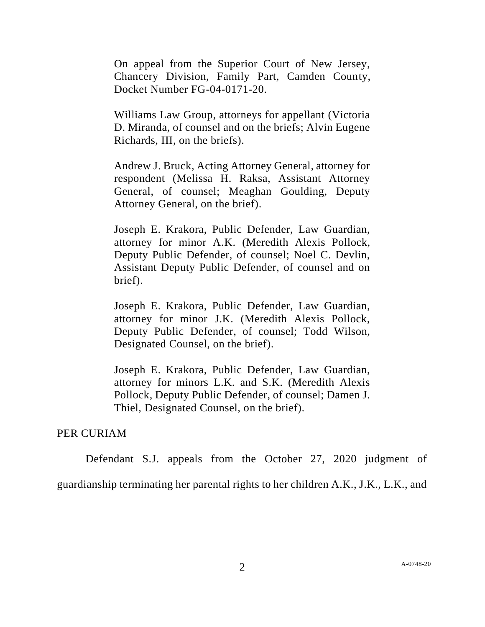On appeal from the Superior Court of New Jersey, Chancery Division, Family Part, Camden County, Docket Number FG-04-0171-20.

Williams Law Group, attorneys for appellant (Victoria D. Miranda, of counsel and on the briefs; Alvin Eugene Richards, III, on the briefs).

Andrew J. Bruck, Acting Attorney General, attorney for respondent (Melissa H. Raksa, Assistant Attorney General, of counsel; Meaghan Goulding, Deputy Attorney General, on the brief).

Joseph E. Krakora, Public Defender, Law Guardian, attorney for minor A.K. (Meredith Alexis Pollock, Deputy Public Defender, of counsel; Noel C. Devlin, Assistant Deputy Public Defender, of counsel and on brief).

Joseph E. Krakora, Public Defender, Law Guardian, attorney for minor J.K. (Meredith Alexis Pollock, Deputy Public Defender, of counsel; Todd Wilson, Designated Counsel, on the brief).

Joseph E. Krakora, Public Defender, Law Guardian, attorney for minors L.K. and S.K. (Meredith Alexis Pollock, Deputy Public Defender, of counsel; Damen J. Thiel, Designated Counsel, on the brief).

### PER CURIAM

Defendant S.J. appeals from the October 27, 2020 judgment of guardianship terminating her parental rights to her children A.K., J.K., L.K., and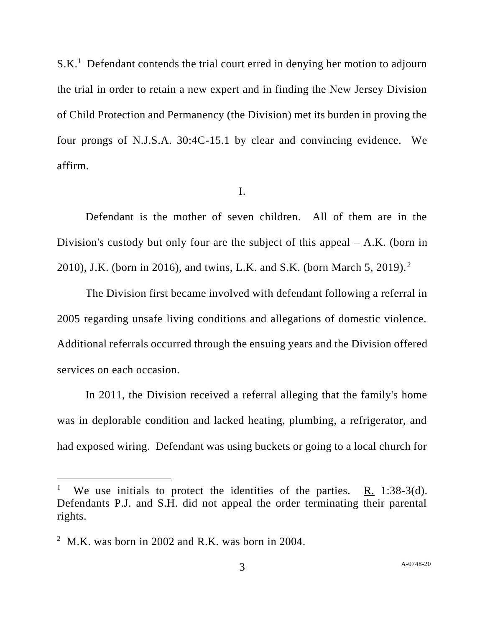S.K.<sup>1</sup> Defendant contends the trial court erred in denying her motion to adjourn the trial in order to retain a new expert and in finding the New Jersey Division of Child Protection and Permanency (the Division) met its burden in proving the four prongs of N.J.S.A. 30:4C-15.1 by clear and convincing evidence. We affirm.

#### I.

Defendant is the mother of seven children. All of them are in the Division's custody but only four are the subject of this appeal  $- A.K.$  (born in 2010), J.K. (born in 2016), and twins, L.K. and S.K. (born March 5, 2019). <sup>2</sup>

The Division first became involved with defendant following a referral in 2005 regarding unsafe living conditions and allegations of domestic violence. Additional referrals occurred through the ensuing years and the Division offered services on each occasion.

In 2011, the Division received a referral alleging that the family's home was in deplorable condition and lacked heating, plumbing, a refrigerator, and had exposed wiring. Defendant was using buckets or going to a local church for

<sup>1</sup> We use initials to protect the identities of the parties. R. 1:38-3(d). Defendants P.J. and S.H. did not appeal the order terminating their parental rights.

 $2$  M.K. was born in 2002 and R.K. was born in 2004.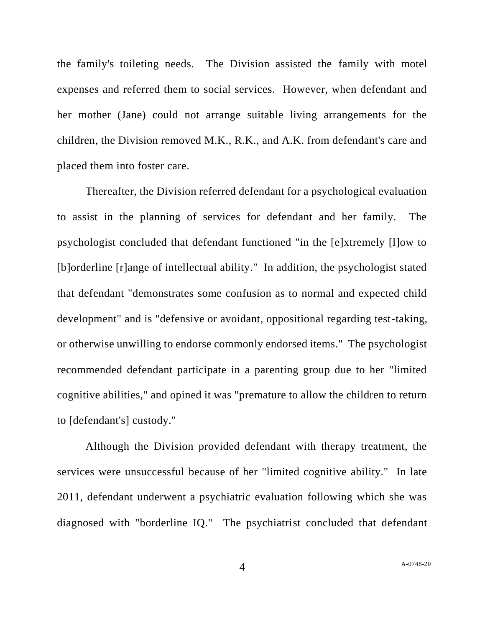the family's toileting needs. The Division assisted the family with motel expenses and referred them to social services. However, when defendant and her mother (Jane) could not arrange suitable living arrangements for the children, the Division removed M.K., R.K., and A.K. from defendant's care and placed them into foster care.

Thereafter, the Division referred defendant for a psychological evaluation to assist in the planning of services for defendant and her family. The psychologist concluded that defendant functioned "in the [e]xtremely [l]ow to [b]orderline [r]ange of intellectual ability." In addition, the psychologist stated that defendant "demonstrates some confusion as to normal and expected child development" and is "defensive or avoidant, oppositional regarding test-taking, or otherwise unwilling to endorse commonly endorsed items." The psychologist recommended defendant participate in a parenting group due to her "limited cognitive abilities," and opined it was "premature to allow the children to return to [defendant's] custody."

Although the Division provided defendant with therapy treatment, the services were unsuccessful because of her "limited cognitive ability." In late 2011, defendant underwent a psychiatric evaluation following which she was diagnosed with "borderline IQ." The psychiatrist concluded that defendant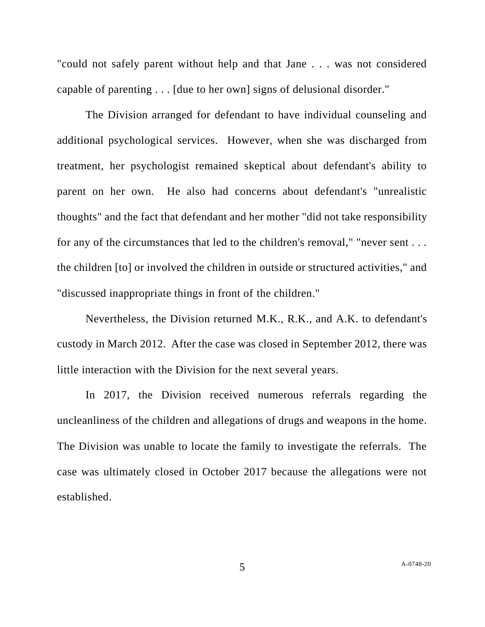"could not safely parent without help and that Jane . . . was not considered capable of parenting . . . [due to her own] signs of delusional disorder."

The Division arranged for defendant to have individual counseling and additional psychological services. However, when she was discharged from treatment, her psychologist remained skeptical about defendant's ability to parent on her own. He also had concerns about defendant's "unrealistic thoughts" and the fact that defendant and her mother "did not take responsibility for any of the circumstances that led to the children's removal," "never sent . . . the children [to] or involved the children in outside or structured activities," and "discussed inappropriate things in front of the children."

Nevertheless, the Division returned M.K., R.K., and A.K. to defendant's custody in March 2012. After the case was closed in September 2012, there was little interaction with the Division for the next several years.

In 2017, the Division received numerous referrals regarding the uncleanliness of the children and allegations of drugs and weapons in the home. The Division was unable to locate the family to investigate the referrals. The case was ultimately closed in October 2017 because the allegations were not established.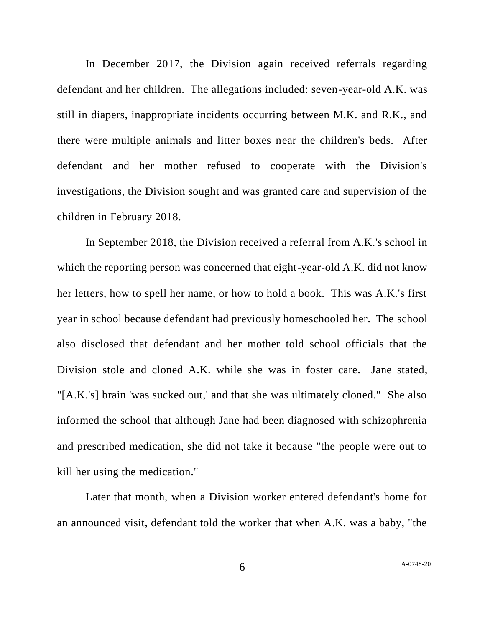In December 2017, the Division again received referrals regarding defendant and her children. The allegations included: seven-year-old A.K. was still in diapers, inappropriate incidents occurring between M.K. and R.K., and there were multiple animals and litter boxes near the children's beds. After defendant and her mother refused to cooperate with the Division's investigations, the Division sought and was granted care and supervision of the children in February 2018.

In September 2018, the Division received a referral from A.K.'s school in which the reporting person was concerned that eight-year-old A.K. did not know her letters, how to spell her name, or how to hold a book. This was A.K.'s first year in school because defendant had previously homeschooled her. The school also disclosed that defendant and her mother told school officials that the Division stole and cloned A.K. while she was in foster care. Jane stated, "[A.K.'s] brain 'was sucked out,' and that she was ultimately cloned." She also informed the school that although Jane had been diagnosed with schizophrenia and prescribed medication, she did not take it because "the people were out to kill her using the medication."

Later that month, when a Division worker entered defendant's home for an announced visit, defendant told the worker that when A.K. was a baby, "the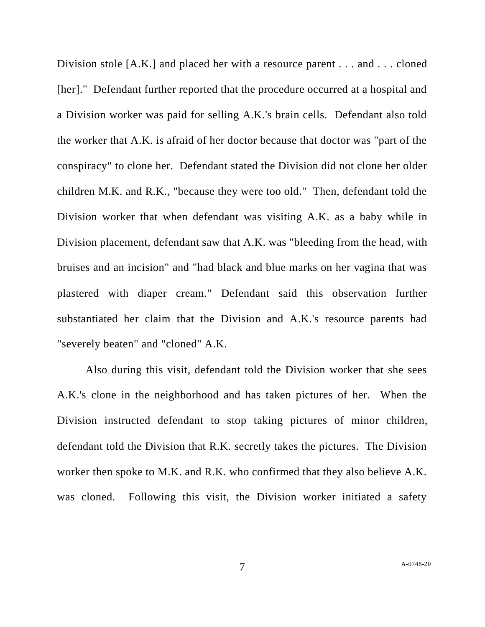Division stole [A.K.] and placed her with a resource parent . . . and . . . cloned [her]." Defendant further reported that the procedure occurred at a hospital and a Division worker was paid for selling A.K.'s brain cells. Defendant also told the worker that A.K. is afraid of her doctor because that doctor was "part of the conspiracy" to clone her. Defendant stated the Division did not clone her older children M.K. and R.K., "because they were too old." Then, defendant told the Division worker that when defendant was visiting A.K. as a baby while in Division placement, defendant saw that A.K. was "bleeding from the head, with bruises and an incision" and "had black and blue marks on her vagina that was plastered with diaper cream." Defendant said this observation further substantiated her claim that the Division and A.K.'s resource parents had "severely beaten" and "cloned" A.K.

Also during this visit, defendant told the Division worker that she sees A.K.'s clone in the neighborhood and has taken pictures of her. When the Division instructed defendant to stop taking pictures of minor children, defendant told the Division that R.K. secretly takes the pictures. The Division worker then spoke to M.K. and R.K. who confirmed that they also believe A.K. was cloned. Following this visit, the Division worker initiated a safety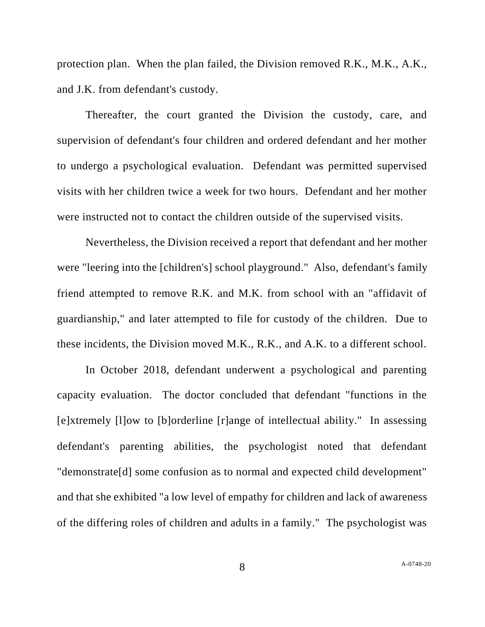protection plan. When the plan failed, the Division removed R.K., M.K., A.K., and J.K. from defendant's custody.

Thereafter, the court granted the Division the custody, care, and supervision of defendant's four children and ordered defendant and her mother to undergo a psychological evaluation. Defendant was permitted supervised visits with her children twice a week for two hours. Defendant and her mother were instructed not to contact the children outside of the supervised visits.

Nevertheless, the Division received a report that defendant and her mother were "leering into the [children's] school playground." Also, defendant's family friend attempted to remove R.K. and M.K. from school with an "affidavit of guardianship," and later attempted to file for custody of the children. Due to these incidents, the Division moved M.K., R.K., and A.K. to a different school.

In October 2018, defendant underwent a psychological and parenting capacity evaluation. The doctor concluded that defendant "functions in the [e]xtremely [l]ow to [b]orderline [r]ange of intellectual ability." In assessing defendant's parenting abilities, the psychologist noted that defendant "demonstrate[d] some confusion as to normal and expected child development" and that she exhibited "a low level of empathy for children and lack of awareness of the differing roles of children and adults in a family." The psychologist was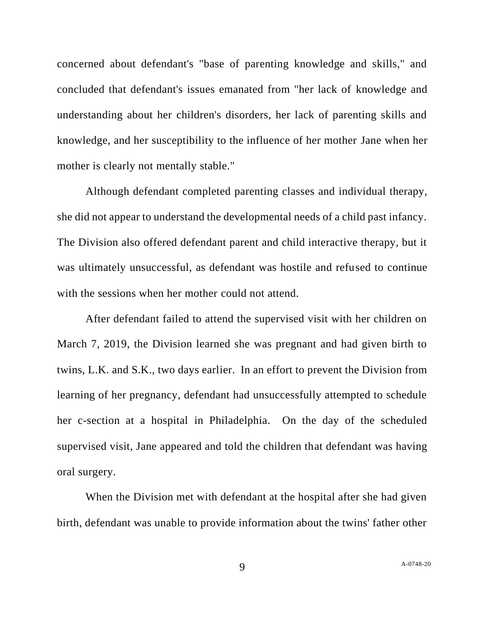concerned about defendant's "base of parenting knowledge and skills," and concluded that defendant's issues emanated from "her lack of knowledge and understanding about her children's disorders, her lack of parenting skills and knowledge, and her susceptibility to the influence of her mother Jane when her mother is clearly not mentally stable."

Although defendant completed parenting classes and individual therapy, she did not appear to understand the developmental needs of a child past infancy. The Division also offered defendant parent and child interactive therapy, but it was ultimately unsuccessful, as defendant was hostile and refused to continue with the sessions when her mother could not attend.

After defendant failed to attend the supervised visit with her children on March 7, 2019, the Division learned she was pregnant and had given birth to twins, L.K. and S.K., two days earlier. In an effort to prevent the Division from learning of her pregnancy, defendant had unsuccessfully attempted to schedule her c-section at a hospital in Philadelphia. On the day of the scheduled supervised visit, Jane appeared and told the children that defendant was having oral surgery.

When the Division met with defendant at the hospital after she had given birth, defendant was unable to provide information about the twins' father other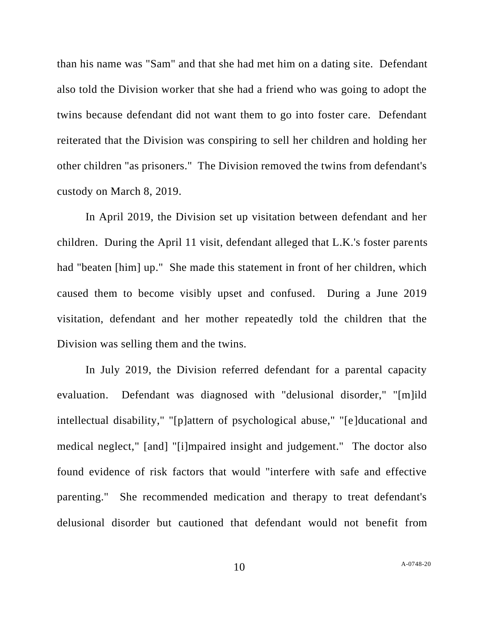than his name was "Sam" and that she had met him on a dating site. Defendant also told the Division worker that she had a friend who was going to adopt the twins because defendant did not want them to go into foster care. Defendant reiterated that the Division was conspiring to sell her children and holding her other children "as prisoners." The Division removed the twins from defendant's custody on March 8, 2019.

In April 2019, the Division set up visitation between defendant and her children. During the April 11 visit, defendant alleged that L.K.'s foster parents had "beaten [him] up." She made this statement in front of her children, which caused them to become visibly upset and confused. During a June 2019 visitation, defendant and her mother repeatedly told the children that the Division was selling them and the twins.

In July 2019, the Division referred defendant for a parental capacity evaluation. Defendant was diagnosed with "delusional disorder," "[m]ild intellectual disability," "[p]attern of psychological abuse," "[e]ducational and medical neglect," [and] "[i]mpaired insight and judgement." The doctor also found evidence of risk factors that would "interfere with safe and effective parenting." She recommended medication and therapy to treat defendant's delusional disorder but cautioned that defendant would not benefit from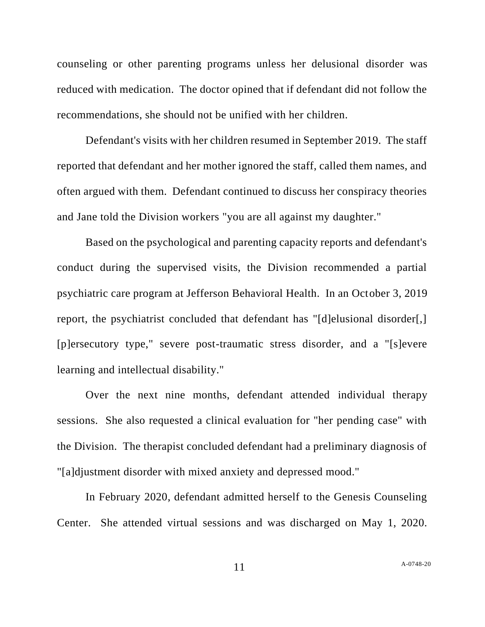counseling or other parenting programs unless her delusional disorder was reduced with medication. The doctor opined that if defendant did not follow the recommendations, she should not be unified with her children.

Defendant's visits with her children resumed in September 2019. The staff reported that defendant and her mother ignored the staff, called them names, and often argued with them. Defendant continued to discuss her conspiracy theories and Jane told the Division workers "you are all against my daughter."

Based on the psychological and parenting capacity reports and defendant's conduct during the supervised visits, the Division recommended a partial psychiatric care program at Jefferson Behavioral Health. In an October 3, 2019 report, the psychiatrist concluded that defendant has "[d]elusional disorder[,] [p]ersecutory type," severe post-traumatic stress disorder, and a "[s]evere learning and intellectual disability."

Over the next nine months, defendant attended individual therapy sessions. She also requested a clinical evaluation for "her pending case" with the Division. The therapist concluded defendant had a preliminary diagnosis of "[a]djustment disorder with mixed anxiety and depressed mood."

In February 2020, defendant admitted herself to the Genesis Counseling Center. She attended virtual sessions and was discharged on May 1, 2020.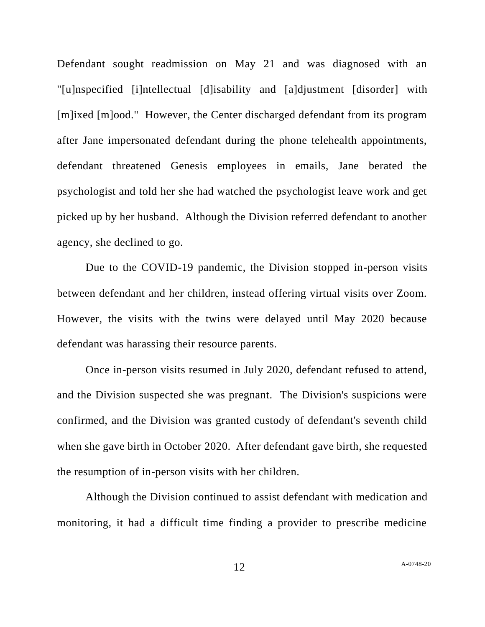Defendant sought readmission on May 21 and was diagnosed with an "[u]nspecified [i]ntellectual [d]isability and [a]djustment [disorder] with [m]ixed [m]ood." However, the Center discharged defendant from its program after Jane impersonated defendant during the phone telehealth appointments, defendant threatened Genesis employees in emails, Jane berated the psychologist and told her she had watched the psychologist leave work and get picked up by her husband. Although the Division referred defendant to another agency, she declined to go.

Due to the COVID-19 pandemic, the Division stopped in-person visits between defendant and her children, instead offering virtual visits over Zoom. However, the visits with the twins were delayed until May 2020 because defendant was harassing their resource parents.

Once in-person visits resumed in July 2020, defendant refused to attend, and the Division suspected she was pregnant. The Division's suspicions were confirmed, and the Division was granted custody of defendant's seventh child when she gave birth in October 2020. After defendant gave birth, she requested the resumption of in-person visits with her children.

Although the Division continued to assist defendant with medication and monitoring, it had a difficult time finding a provider to prescribe medicine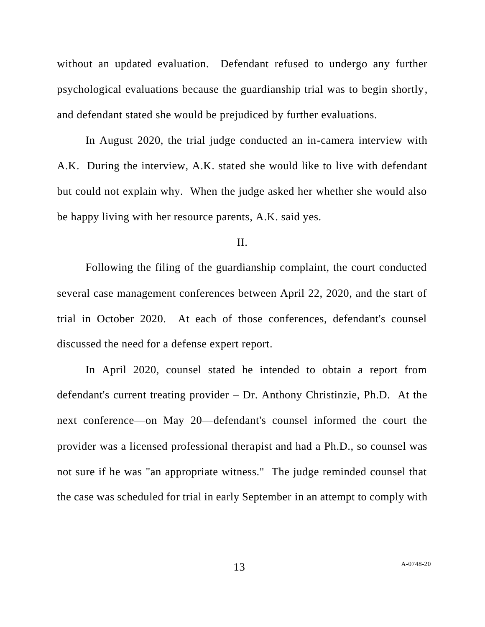without an updated evaluation. Defendant refused to undergo any further psychological evaluations because the guardianship trial was to begin shortly, and defendant stated she would be prejudiced by further evaluations.

In August 2020, the trial judge conducted an in-camera interview with A.K. During the interview, A.K. stated she would like to live with defendant but could not explain why. When the judge asked her whether she would also be happy living with her resource parents, A.K. said yes.

#### II.

Following the filing of the guardianship complaint, the court conducted several case management conferences between April 22, 2020, and the start of trial in October 2020. At each of those conferences, defendant's counsel discussed the need for a defense expert report.

In April 2020, counsel stated he intended to obtain a report from defendant's current treating provider – Dr. Anthony Christinzie, Ph.D. At the next conference—on May 20—defendant's counsel informed the court the provider was a licensed professional therapist and had a Ph.D., so counsel was not sure if he was "an appropriate witness." The judge reminded counsel that the case was scheduled for trial in early September in an attempt to comply with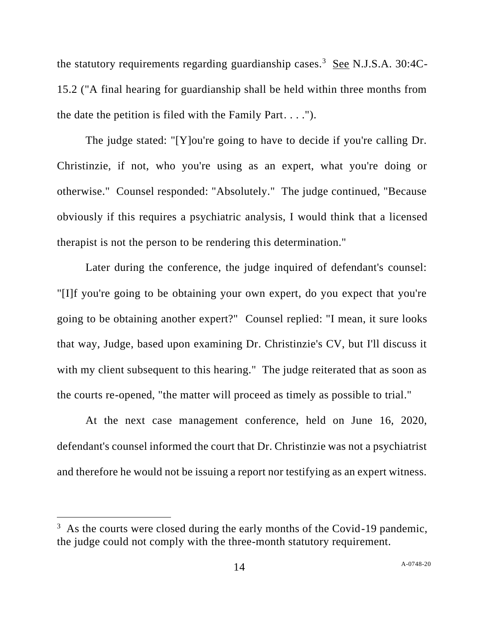the statutory requirements regarding guardianship cases.<sup>3</sup> See N.J.S.A. 30:4C-15.2 ("A final hearing for guardianship shall be held within three months from the date the petition is filed with the Family Part....").

The judge stated: "[Y]ou're going to have to decide if you're calling Dr. Christinzie, if not, who you're using as an expert, what you're doing or otherwise." Counsel responded: "Absolutely." The judge continued, "Because obviously if this requires a psychiatric analysis, I would think that a licensed therapist is not the person to be rendering this determination."

Later during the conference, the judge inquired of defendant's counsel: "[I]f you're going to be obtaining your own expert, do you expect that you're going to be obtaining another expert?" Counsel replied: "I mean, it sure looks that way, Judge, based upon examining Dr. Christinzie's CV, but I'll discuss it with my client subsequent to this hearing." The judge reiterated that as soon as the courts re-opened, "the matter will proceed as timely as possible to trial."

At the next case management conference, held on June 16, 2020, defendant's counsel informed the court that Dr. Christinzie was not a psychiatrist and therefore he would not be issuing a report nor testifying as an expert witness.

 $3\,$  As the courts were closed during the early months of the Covid-19 pandemic, the judge could not comply with the three-month statutory requirement.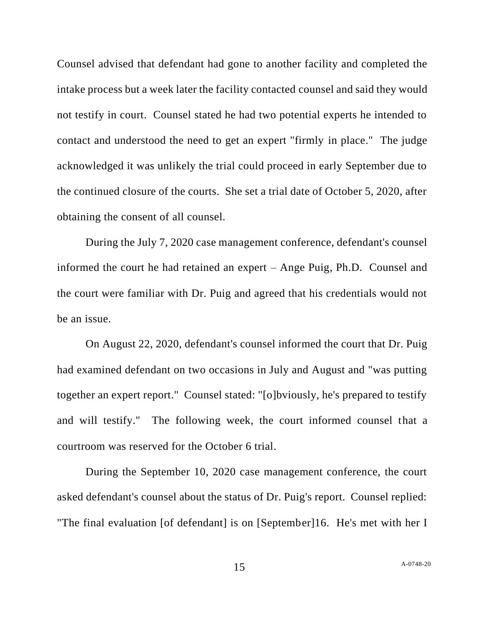Counsel advised that defendant had gone to another facility and completed the intake process but a week later the facility contacted counsel and said they would not testify in court. Counsel stated he had two potential experts he intended to contact and understood the need to get an expert "firmly in place." The judge acknowledged it was unlikely the trial could proceed in early September due to the continued closure of the courts. She set a trial date of October 5, 2020, after obtaining the consent of all counsel.

During the July 7, 2020 case management conference, defendant's counsel informed the court he had retained an expert – Ange Puig, Ph.D. Counsel and the court were familiar with Dr. Puig and agreed that his credentials would not be an issue.

On August 22, 2020, defendant's counsel informed the court that Dr. Puig had examined defendant on two occasions in July and August and "was putting together an expert report." Counsel stated: "[o]bviously, he's prepared to testify and will testify." The following week, the court informed counsel that a courtroom was reserved for the October 6 trial.

During the September 10, 2020 case management conference, the court asked defendant's counsel about the status of Dr. Puig's report. Counsel replied: "The final evaluation [of defendant] is on [September]16. He's met with her I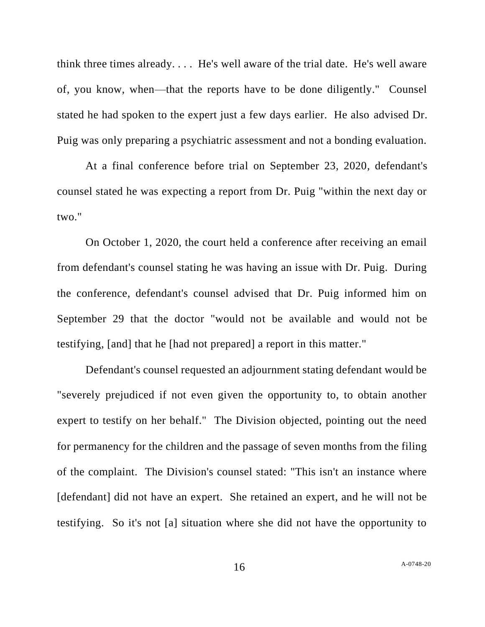think three times already. . . . He's well aware of the trial date. He's well aware of, you know, when—that the reports have to be done diligently." Counsel stated he had spoken to the expert just a few days earlier. He also advised Dr. Puig was only preparing a psychiatric assessment and not a bonding evaluation.

At a final conference before trial on September 23, 2020, defendant's counsel stated he was expecting a report from Dr. Puig "within the next day or two."

On October 1, 2020, the court held a conference after receiving an email from defendant's counsel stating he was having an issue with Dr. Puig. During the conference, defendant's counsel advised that Dr. Puig informed him on September 29 that the doctor "would not be available and would not be testifying, [and] that he [had not prepared] a report in this matter."

Defendant's counsel requested an adjournment stating defendant would be "severely prejudiced if not even given the opportunity to, to obtain another expert to testify on her behalf." The Division objected, pointing out the need for permanency for the children and the passage of seven months from the filing of the complaint. The Division's counsel stated: "This isn't an instance where [defendant] did not have an expert. She retained an expert, and he will not be testifying. So it's not [a] situation where she did not have the opportunity to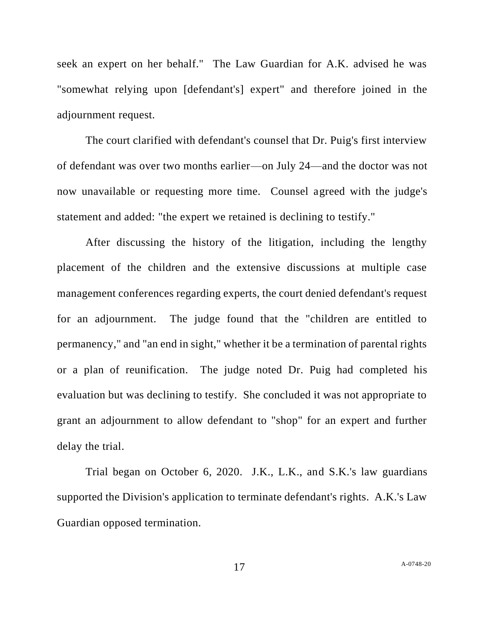seek an expert on her behalf." The Law Guardian for A.K. advised he was "somewhat relying upon [defendant's] expert" and therefore joined in the adjournment request.

The court clarified with defendant's counsel that Dr. Puig's first interview of defendant was over two months earlier—on July 24—and the doctor was not now unavailable or requesting more time. Counsel agreed with the judge's statement and added: "the expert we retained is declining to testify."

After discussing the history of the litigation, including the lengthy placement of the children and the extensive discussions at multiple case management conferences regarding experts, the court denied defendant's request for an adjournment. The judge found that the "children are entitled to permanency," and "an end in sight," whether it be a termination of parental rights or a plan of reunification. The judge noted Dr. Puig had completed his evaluation but was declining to testify. She concluded it was not appropriate to grant an adjournment to allow defendant to "shop" for an expert and further delay the trial.

Trial began on October 6, 2020. J.K., L.K., and S.K.'s law guardians supported the Division's application to terminate defendant's rights. A.K.'s Law Guardian opposed termination.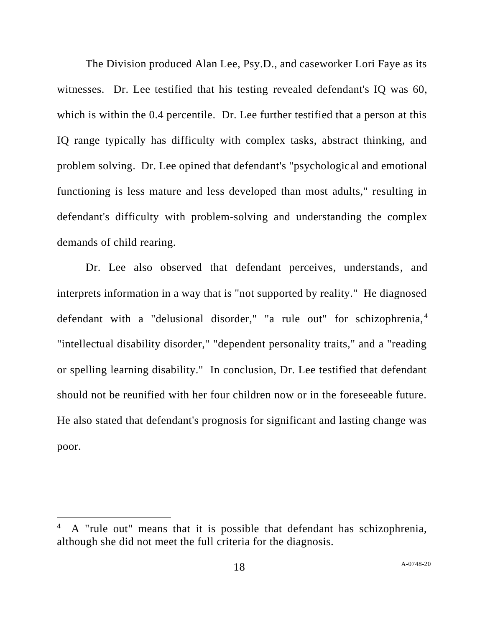The Division produced Alan Lee, Psy.D., and caseworker Lori Faye as its witnesses. Dr. Lee testified that his testing revealed defendant's IQ was 60, which is within the 0.4 percentile. Dr. Lee further testified that a person at this IQ range typically has difficulty with complex tasks, abstract thinking, and problem solving. Dr. Lee opined that defendant's "psychological and emotional functioning is less mature and less developed than most adults," resulting in defendant's difficulty with problem-solving and understanding the complex demands of child rearing.

Dr. Lee also observed that defendant perceives, understands, and interprets information in a way that is "not supported by reality." He diagnosed defendant with a "delusional disorder," "a rule out" for schizophrenia, <sup>4</sup> "intellectual disability disorder," "dependent personality traits," and a "reading or spelling learning disability." In conclusion, Dr. Lee testified that defendant should not be reunified with her four children now or in the foreseeable future. He also stated that defendant's prognosis for significant and lasting change was poor.

<sup>4</sup> A "rule out" means that it is possible that defendant has schizophrenia, although she did not meet the full criteria for the diagnosis.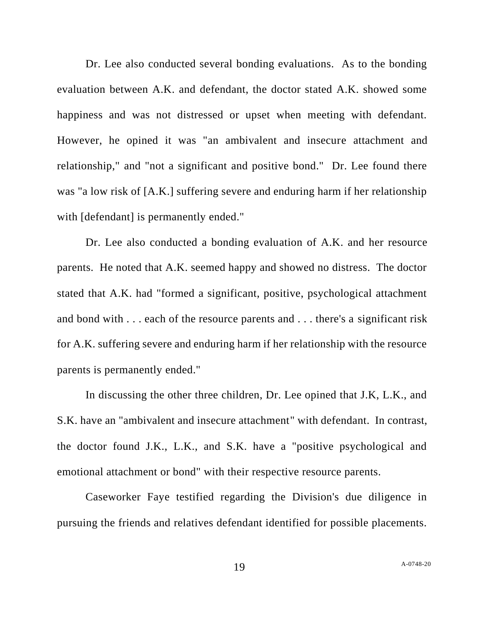Dr. Lee also conducted several bonding evaluations. As to the bonding evaluation between A.K. and defendant, the doctor stated A.K. showed some happiness and was not distressed or upset when meeting with defendant. However, he opined it was "an ambivalent and insecure attachment and relationship," and "not a significant and positive bond." Dr. Lee found there was "a low risk of [A.K.] suffering severe and enduring harm if her relationship with [defendant] is permanently ended."

Dr. Lee also conducted a bonding evaluation of A.K. and her resource parents. He noted that A.K. seemed happy and showed no distress. The doctor stated that A.K. had "formed a significant, positive, psychological attachment and bond with . . . each of the resource parents and . . . there's a significant risk for A.K. suffering severe and enduring harm if her relationship with the resource parents is permanently ended."

In discussing the other three children, Dr. Lee opined that J.K, L.K., and S.K. have an "ambivalent and insecure attachment" with defendant. In contrast, the doctor found J.K., L.K., and S.K. have a "positive psychological and emotional attachment or bond" with their respective resource parents.

Caseworker Faye testified regarding the Division's due diligence in pursuing the friends and relatives defendant identified for possible placements.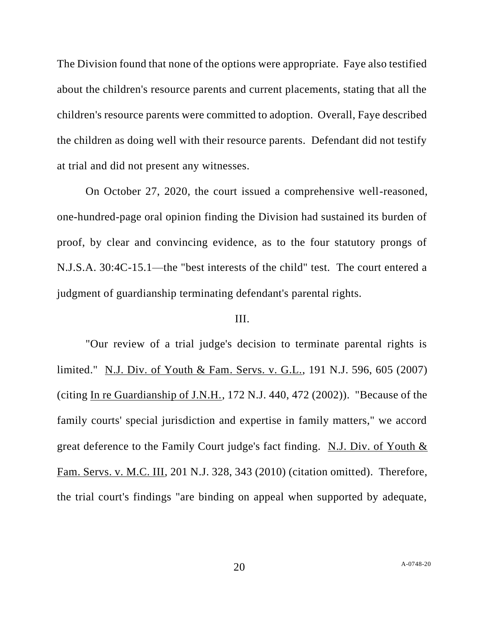The Division found that none of the options were appropriate. Faye also testified about the children's resource parents and current placements, stating that all the children's resource parents were committed to adoption. Overall, Faye described the children as doing well with their resource parents. Defendant did not testify at trial and did not present any witnesses.

On October 27, 2020, the court issued a comprehensive well-reasoned, one-hundred-page oral opinion finding the Division had sustained its burden of proof, by clear and convincing evidence, as to the four statutory prongs of N.J.S.A. 30:4C-15.1—the "best interests of the child" test. The court entered a judgment of guardianship terminating defendant's parental rights.

## III.

"Our review of a trial judge's decision to terminate parental rights is limited." N.J. Div. of Youth & Fam. Servs. v. G.L., 191 N.J. 596, 605 (2007) (citing In re Guardianship of J.N.H., 172 N.J. 440, 472 (2002)). "Because of the family courts' special jurisdiction and expertise in family matters," we accord great deference to the Family Court judge's fact finding. N.J. Div. of Youth & Fam. Servs. v. M.C. III, 201 N.J. 328, 343 (2010) (citation omitted). Therefore, the trial court's findings "are binding on appeal when supported by adequate,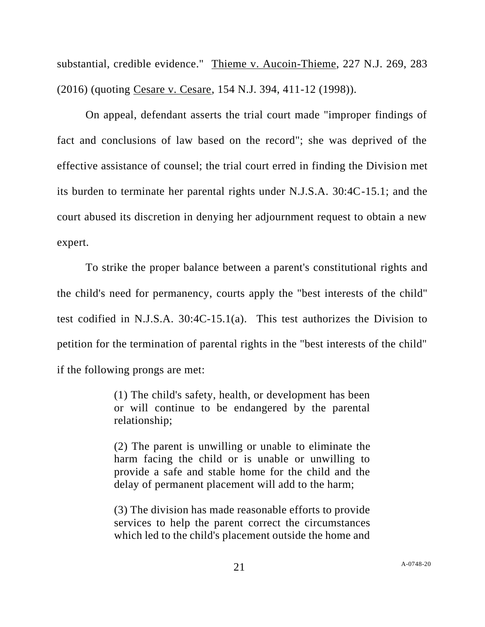substantial, credible evidence." Thieme v. Aucoin-Thieme, 227 N.J. 269, 283 (2016) (quoting Cesare v. Cesare, 154 N.J. 394, 411-12 (1998)).

On appeal, defendant asserts the trial court made "improper findings of fact and conclusions of law based on the record"; she was deprived of the effective assistance of counsel; the trial court erred in finding the Division met its burden to terminate her parental rights under N.J.S.A. 30:4C-15.1; and the court abused its discretion in denying her adjournment request to obtain a new expert.

To strike the proper balance between a parent's constitutional rights and the child's need for permanency, courts apply the "best interests of the child" test codified in N.J.S.A. 30:4C-15.1(a). This test authorizes the Division to petition for the termination of parental rights in the "best interests of the child" if the following prongs are met:

> (1) The child's safety, health, or development has been or will continue to be endangered by the parental relationship;

> (2) The parent is unwilling or unable to eliminate the harm facing the child or is unable or unwilling to provide a safe and stable home for the child and the delay of permanent placement will add to the harm;

> (3) The division has made reasonable efforts to provide services to help the parent correct the circumstances which led to the child's placement outside the home and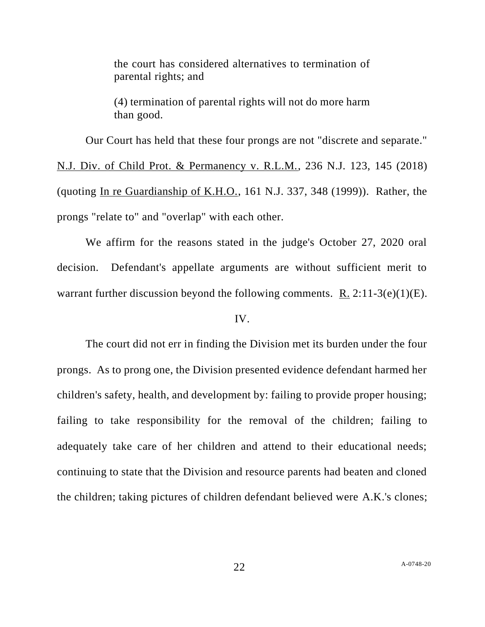the court has considered alternatives to termination of parental rights; and

(4) termination of parental rights will not do more harm than good.

Our Court has held that these four prongs are not "discrete and separate."

N.J. Div. of Child Prot. & Permanency v. R.L.M., 236 N.J. 123, 145 (2018) (quoting In re Guardianship of K.H.O., 161 N.J. 337, 348 (1999)). Rather, the prongs "relate to" and "overlap" with each other.

We affirm for the reasons stated in the judge's October 27, 2020 oral decision. Defendant's appellate arguments are without sufficient merit to warrant further discussion beyond the following comments. R.  $2:11-3(e)(1)(E)$ .

## IV.

The court did not err in finding the Division met its burden under the four prongs. As to prong one, the Division presented evidence defendant harmed her children's safety, health, and development by: failing to provide proper housing; failing to take responsibility for the removal of the children; failing to adequately take care of her children and attend to their educational needs; continuing to state that the Division and resource parents had beaten and cloned the children; taking pictures of children defendant believed were A.K.'s clones;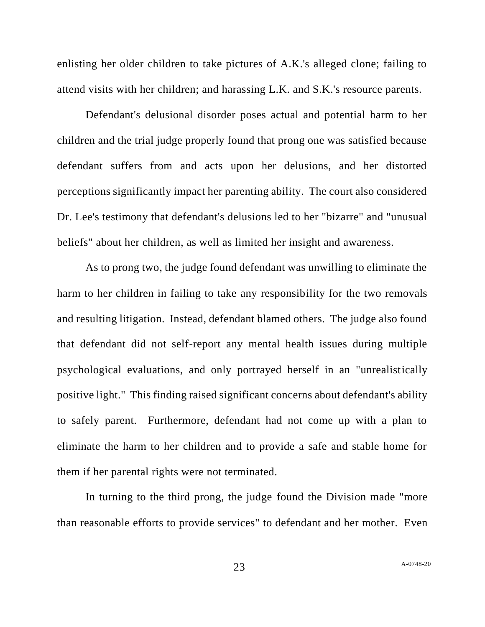enlisting her older children to take pictures of A.K.'s alleged clone; failing to attend visits with her children; and harassing L.K. and S.K.'s resource parents.

Defendant's delusional disorder poses actual and potential harm to her children and the trial judge properly found that prong one was satisfied because defendant suffers from and acts upon her delusions, and her distorted perceptions significantly impact her parenting ability. The court also considered Dr. Lee's testimony that defendant's delusions led to her "bizarre" and "unusual beliefs" about her children, as well as limited her insight and awareness.

As to prong two, the judge found defendant was unwilling to eliminate the harm to her children in failing to take any responsibility for the two removals and resulting litigation. Instead, defendant blamed others. The judge also found that defendant did not self-report any mental health issues during multiple psychological evaluations, and only portrayed herself in an "unrealistically positive light." This finding raised significant concerns about defendant's ability to safely parent. Furthermore, defendant had not come up with a plan to eliminate the harm to her children and to provide a safe and stable home for them if her parental rights were not terminated.

In turning to the third prong, the judge found the Division made "more than reasonable efforts to provide services" to defendant and her mother. Even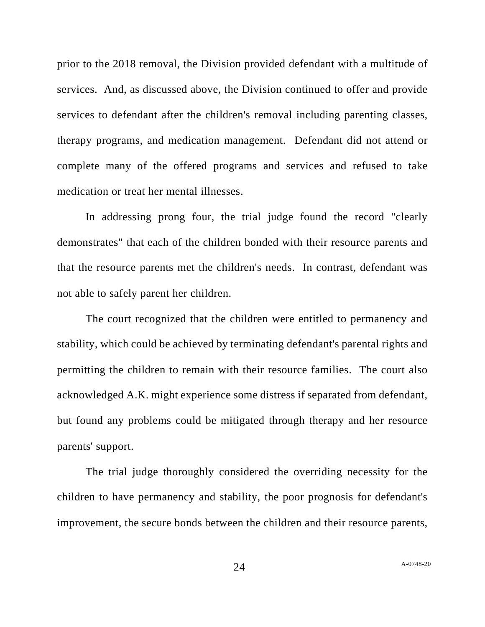prior to the 2018 removal, the Division provided defendant with a multitude of services. And, as discussed above, the Division continued to offer and provide services to defendant after the children's removal including parenting classes, therapy programs, and medication management. Defendant did not attend or complete many of the offered programs and services and refused to take medication or treat her mental illnesses.

In addressing prong four, the trial judge found the record "clearly demonstrates" that each of the children bonded with their resource parents and that the resource parents met the children's needs. In contrast, defendant was not able to safely parent her children.

The court recognized that the children were entitled to permanency and stability, which could be achieved by terminating defendant's parental rights and permitting the children to remain with their resource families. The court also acknowledged A.K. might experience some distress if separated from defendant, but found any problems could be mitigated through therapy and her resource parents' support.

The trial judge thoroughly considered the overriding necessity for the children to have permanency and stability, the poor prognosis for defendant's improvement, the secure bonds between the children and their resource parents,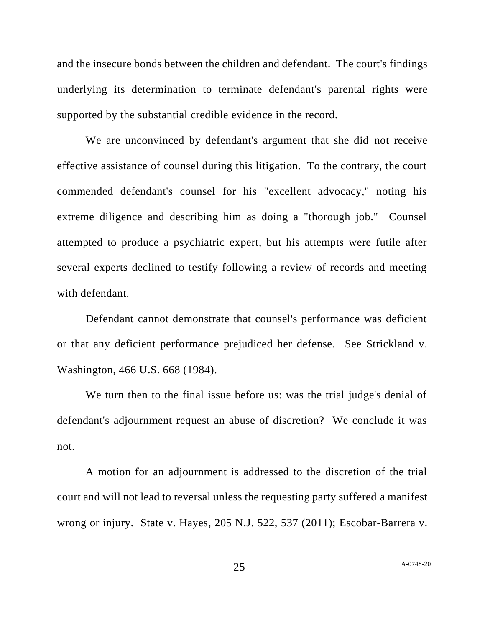and the insecure bonds between the children and defendant. The court's findings underlying its determination to terminate defendant's parental rights were supported by the substantial credible evidence in the record.

We are unconvinced by defendant's argument that she did not receive effective assistance of counsel during this litigation. To the contrary, the court commended defendant's counsel for his "excellent advocacy," noting his extreme diligence and describing him as doing a "thorough job." Counsel attempted to produce a psychiatric expert, but his attempts were futile after several experts declined to testify following a review of records and meeting with defendant.

Defendant cannot demonstrate that counsel's performance was deficient or that any deficient performance prejudiced her defense. See Strickland v. Washington, 466 U.S. 668 (1984).

We turn then to the final issue before us: was the trial judge's denial of defendant's adjournment request an abuse of discretion? We conclude it was not.

A motion for an adjournment is addressed to the discretion of the trial court and will not lead to reversal unless the requesting party suffered a manifest wrong or injury. State v. Hayes, 205 N.J. 522, 537 (2011); Escobar-Barrera v.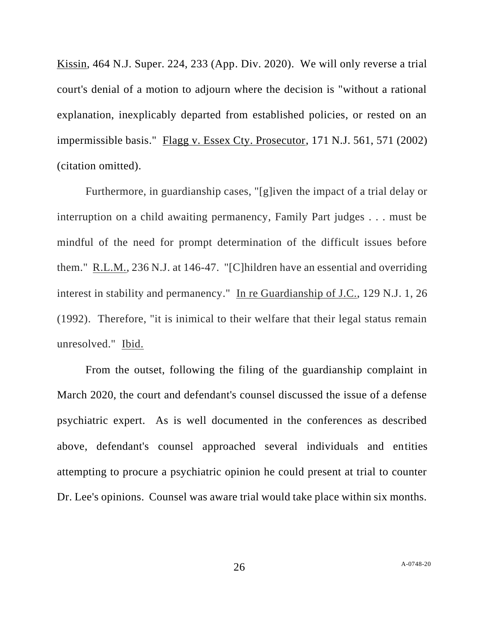Kissin, 464 N.J. Super. 224, 233 (App. Div. 2020). We will only reverse a trial court's denial of a motion to adjourn where the decision is "without a rational explanation, inexplicably departed from established policies, or rested on an impermissible basis." Flagg v. Essex Cty. Prosecutor, 171 N.J. 561, 571 (2002) (citation omitted).

Furthermore, in guardianship cases, "[g]iven the impact of a trial delay or interruption on a child awaiting permanency, Family Part judges . . . must be mindful of the need for prompt determination of the difficult issues before them." R.L.M., 236 N.J. at 146-47. "[C]hildren have an essential and overriding interest in stability and permanency." In re Guardianship of J.C., 129 N.J. 1, 26 (1992). Therefore, "it is inimical to their welfare that their legal status remain unresolved." Ibid.

From the outset, following the filing of the guardianship complaint in March 2020, the court and defendant's counsel discussed the issue of a defense psychiatric expert. As is well documented in the conferences as described above, defendant's counsel approached several individuals and entities attempting to procure a psychiatric opinion he could present at trial to counter Dr. Lee's opinions. Counsel was aware trial would take place within six months.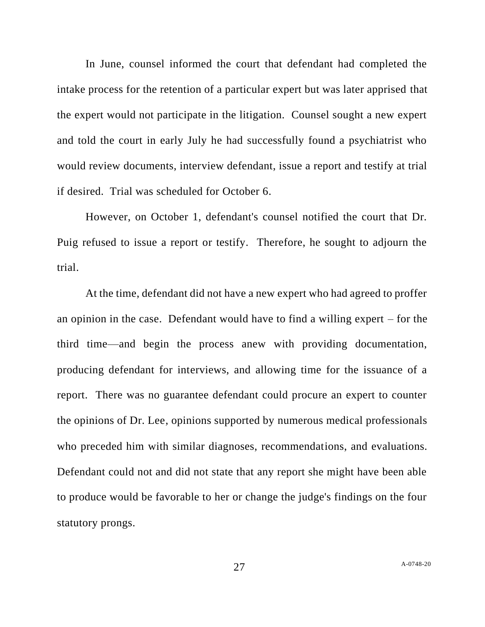In June, counsel informed the court that defendant had completed the intake process for the retention of a particular expert but was later apprised that the expert would not participate in the litigation. Counsel sought a new expert and told the court in early July he had successfully found a psychiatrist who would review documents, interview defendant, issue a report and testify at trial if desired. Trial was scheduled for October 6.

However, on October 1, defendant's counsel notified the court that Dr. Puig refused to issue a report or testify. Therefore, he sought to adjourn the trial.

At the time, defendant did not have a new expert who had agreed to proffer an opinion in the case. Defendant would have to find a willing expert – for the third time—and begin the process anew with providing documentation, producing defendant for interviews, and allowing time for the issuance of a report. There was no guarantee defendant could procure an expert to counter the opinions of Dr. Lee, opinions supported by numerous medical professionals who preceded him with similar diagnoses, recommendations, and evaluations. Defendant could not and did not state that any report she might have been able to produce would be favorable to her or change the judge's findings on the four statutory prongs.